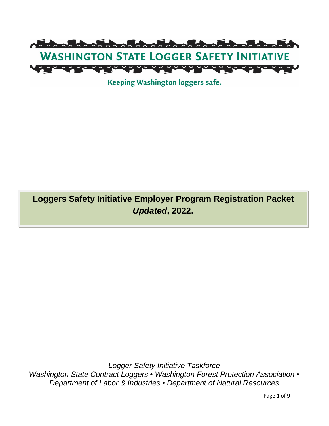

Keeping Washington loggers safe.

# **Loggers Safety Initiative Employer Program Registration Packet** *Updated***, 2022.**

*Logger Safety Initiative Taskforce Washington State Contract Loggers • Washington Forest Protection Association • Department of Labor & Industries • Department of Natural Resources*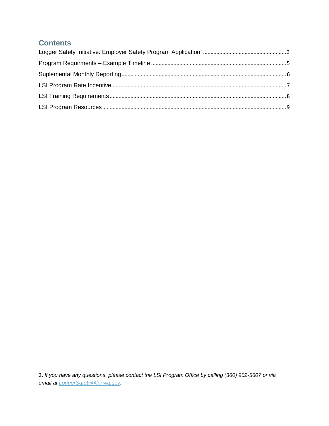## **Contents**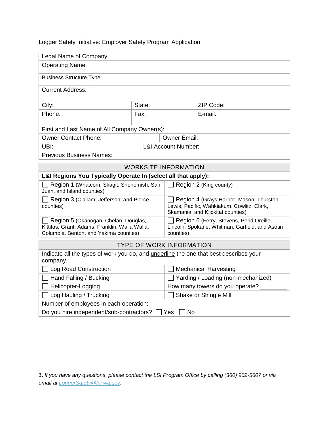### Logger Safety Initiative: Employer Safety Program Application

| Legal Name of Company:                                                                                                           |                                |                                                                                                                             |                                 |  |  |
|----------------------------------------------------------------------------------------------------------------------------------|--------------------------------|-----------------------------------------------------------------------------------------------------------------------------|---------------------------------|--|--|
| <b>Operating Name:</b>                                                                                                           |                                |                                                                                                                             |                                 |  |  |
| <b>Business Structure Type:</b>                                                                                                  |                                |                                                                                                                             |                                 |  |  |
| <b>Current Address:</b>                                                                                                          |                                |                                                                                                                             |                                 |  |  |
| City:                                                                                                                            | State:                         |                                                                                                                             | ZIP Code:                       |  |  |
| Phone:                                                                                                                           | Fax:                           |                                                                                                                             | E-mail:                         |  |  |
| First and Last Name of All Company Owner(s):                                                                                     |                                |                                                                                                                             |                                 |  |  |
| <b>Owner Contact Phone:</b><br><b>Owner Email:</b>                                                                               |                                |                                                                                                                             |                                 |  |  |
| UBI:                                                                                                                             | <b>L&amp;I Account Number:</b> |                                                                                                                             |                                 |  |  |
| <b>Previous Business Names:</b>                                                                                                  |                                |                                                                                                                             |                                 |  |  |
|                                                                                                                                  |                                | <b>WORKSITE INFORMATION</b>                                                                                                 |                                 |  |  |
| L&I Regions You Typically Operate In (select all that apply):                                                                    |                                |                                                                                                                             |                                 |  |  |
| Region 1 (Whatcom, Skagit, Snohomish, San<br>Region 2 (King county)<br>Juan, and Island counties)                                |                                |                                                                                                                             |                                 |  |  |
| Region 3 (Clallam, Jefferson, and Pierce<br>counties)                                                                            |                                | Region 4 (Grays Harbor, Mason, Thurston,<br>Lewis, Pacific, Wahkiakum, Cowlitz, Clark,<br>Skamania, and Klickitat counties) |                                 |  |  |
| Region 5 (Okanogan, Chelan, Douglas,<br>Kittitas, Grant, Adams, Franklin, Walla Walla,<br>Columbia, Benton, and Yakima counties) |                                | Region 6 (Ferry, Stevens, Pend Oreille,<br>Lincoln, Spokane, Whitman, Garfield, and Asotin<br>counties)                     |                                 |  |  |
| <b>TYPE OF WORK INFORMATION</b>                                                                                                  |                                |                                                                                                                             |                                 |  |  |
| Indicate all the types of work you do, and <b>underline</b> the one that best describes your<br>company.                         |                                |                                                                                                                             |                                 |  |  |
| Log Road Construction                                                                                                            |                                |                                                                                                                             | <b>Mechanical Harvesting</b>    |  |  |
| Hand Falling / Bucking                                                                                                           |                                | Yarding / Loading (non-mechanized)                                                                                          |                                 |  |  |
| Helicopter-Logging                                                                                                               |                                |                                                                                                                             | How many towers do you operate? |  |  |
| Log Hauling / Trucking                                                                                                           |                                | Shake or Shingle Mill                                                                                                       |                                 |  |  |
| Number of employees in each operation:                                                                                           |                                |                                                                                                                             |                                 |  |  |
| Do you hire independent/sub-contractors?<br>Yes<br><b>No</b>                                                                     |                                |                                                                                                                             |                                 |  |  |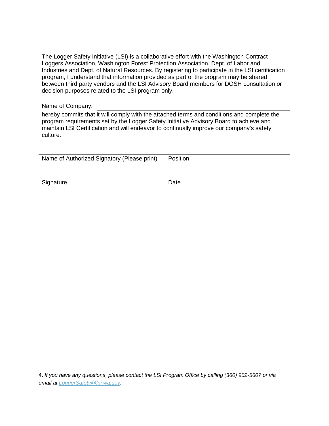The Logger Safety Initiative (LSI) is a collaborative effort with the Washington Contract Loggers Association, Washington Forest Protection Association, Dept. of Labor and Industries and Dept. of Natural Resources. By registering to participate in the LSI certification program, I understand that information provided as part of the program may be shared between third party vendors and the LSI Advisory Board members for DOSH consultation or decision purposes related to the LSI program only.

Name of Company:

hereby commits that it will comply with the attached terms and conditions and complete the program requirements set by the Logger Safety Initiative Advisory Board to achieve and maintain LSI Certification and will endeavor to continually improve our company's safety culture.

Name of Authorized Signatory (Please print) Position

Signature Date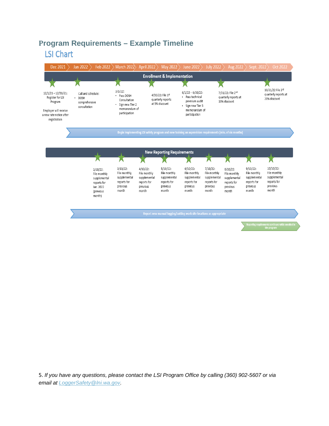# <span id="page-4-0"></span>**Program Requirements – Example TimelineLSI Chart**

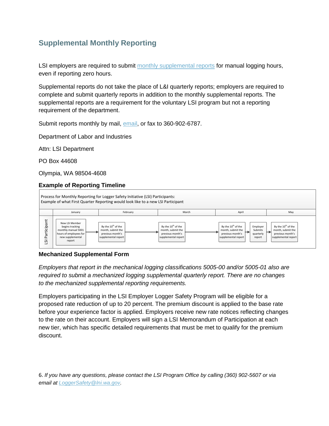## **Supplemental Monthly Reporting**

LSI employers are required to submit [monthly supplemental reports](https://view.officeapps.live.com/op/view.aspx?src=https%3A%2F%2Flni.wa.gov%2Fforms-publications%2FF212-246-000.docx&wdOrigin=BROWSELINK) for manual logging hours, even if reporting zero hours.

Supplemental reports do not take the place of L&I quarterly reports; employers are required to complete and submit quarterly reports in addition to the monthly supplemental reports. The supplemental reports are a requirement for the voluntary LSI program but not a reporting requirement of the department.

Submit reports monthly by mail, [email,](mailto:loggersafety@lni.wa.gov) or fax to 360-902-6787.

Department of Labor and Industries

Attn: LSI Department

PO Box 44608

Olympia, WA 98504-4608

#### **Example of Reporting Timeline**

| Process for Monthly Reporting for Logger Safety Initiative (LSI) Participants:<br>Example of what First Quarter Reporting would look like to a new LSI Participant |                                                                                                                  |                                                                                                |                                                                                                |                                                                                                                                              |                                                                                                     |
|--------------------------------------------------------------------------------------------------------------------------------------------------------------------|------------------------------------------------------------------------------------------------------------------|------------------------------------------------------------------------------------------------|------------------------------------------------------------------------------------------------|----------------------------------------------------------------------------------------------------------------------------------------------|-----------------------------------------------------------------------------------------------------|
|                                                                                                                                                                    | January                                                                                                          | February                                                                                       | March                                                                                          | April                                                                                                                                        | May                                                                                                 |
| Ë<br>ticipa<br>ಕ<br>$\sim$<br>ഗ                                                                                                                                    | New LSI Member<br>begins tracking<br>monthly manual 5001<br>hours of employees for<br>new supplemental<br>report | By the 10 <sup>th</sup> of the<br>month, submit the<br>previous month's<br>supplemental report | By the 10 <sup>th</sup> of the<br>month, submit the<br>previous month's<br>supplemental report | By the 10 <sup>th</sup> of the<br>Employer<br>month, submit the<br>Submits<br>previous month's<br>quarterly<br>supplemental report<br>report | By the 10 <sup>th</sup> of the<br>month, submit the<br>⊣<br>previous month's<br>supplemental report |

#### **Mechanized Supplemental Form**

*Employers that report in the mechanical logging classifications 5005-00 and/or 5005-01 also are required to submit a mechanized logging supplemental quarterly report. There are no changes to the mechanized supplemental reporting requirements.*

Employers participating in the LSI Employer Logger Safety Program will be eligible for a proposed rate reduction of up to 20 percent. The premium discount is applied to the base rate before your experience factor is applied. Employers receive new rate notices reflecting changes to the rate on their account. Employers will sign a LSI Memorandum of Participation at each new tier, which has specific detailed requirements that must be met to qualify for the premium discount.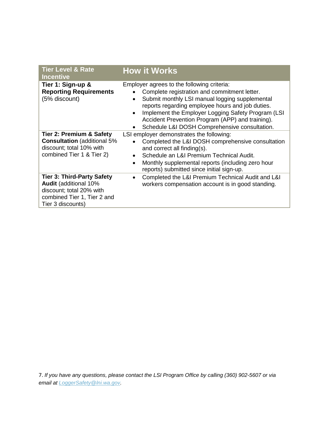| <b>Tier Level &amp; Rate</b><br><b>Incentive</b>                                                                                                  | <b>How it Works</b>                                                                                                                                                                                                                                                                                                                                                       |
|---------------------------------------------------------------------------------------------------------------------------------------------------|---------------------------------------------------------------------------------------------------------------------------------------------------------------------------------------------------------------------------------------------------------------------------------------------------------------------------------------------------------------------------|
| Tier 1: Sign-up &<br><b>Reporting Requirements</b><br>(5% discount)                                                                               | Employer agrees to the following criteria:<br>Complete registration and commitment letter.<br>Submit monthly LSI manual logging supplemental<br>reports regarding employee hours and job duties.<br>Implement the Employer Logging Safety Program (LSI)<br>Accident Prevention Program (APP) and training).<br>Schedule L&I DOSH Comprehensive consultation.<br>$\bullet$ |
| Tier 2: Premium & Safety<br><b>Consultation</b> (additional 5%<br>discount; total 10% with<br>combined Tier 1 & Tier 2)                           | LSI employer demonstrates the following:<br>Completed the L&I DOSH comprehensive consultation<br>and correct all finding(s).<br>Schedule an L&I Premium Technical Audit.<br>Monthly supplemental reports (including zero hour<br>$\bullet$<br>reports) submitted since initial sign-up.                                                                                   |
| <b>Tier 3: Third-Party Safety</b><br><b>Audit</b> (additional 10%<br>discount; total 20% with<br>combined Tier 1, Tier 2 and<br>Tier 3 discounts) | Completed the L&I Premium Technical Audit and L&I<br>workers compensation account is in good standing.                                                                                                                                                                                                                                                                    |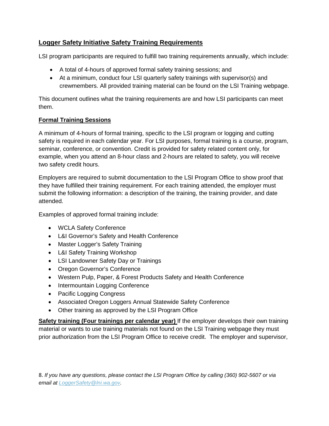### **Logger Safety Initiative Safety Training Requirements**

LSI program participants are required to fulfill two training requirements annually, which include:

- A total of 4-hours of approved formal safety training sessions; and
- At a minimum, conduct four LSI quarterly safety trainings with supervisor(s) and crewmembers. All provided training material can be found on the LSI Training webpage.

This document outlines what the training requirements are and how LSI participants can meet them.

#### **Formal Training Sessions**

A minimum of 4-hours of formal training, specific to the LSI program or logging and cutting safety is required in each calendar year. For LSI purposes, formal training is a course, program, seminar, conference, or convention. Credit is provided for safety related content only, for example, when you attend an 8-hour class and 2-hours are related to safety, you will receive two safety credit hours.

Employers are required to submit documentation to the LSI Program Office to show proof that they have fulfilled their training requirement. For each training attended, the employer must submit the following information: a description of the training, the training provider, and date attended.

Examples of approved formal training include:

- WCLA Safety Conference
- L&I Governor's Safety and Health Conference
- Master Logger's Safety Training
- L&I Safety Training Workshop
- LSI Landowner Safety Day or Trainings
- Oregon Governor's Conference
- Western Pulp, Paper, & Forest Products Safety and Health Conference
- Intermountain Logging Conference
- Pacific Logging Congress
- Associated Oregon Loggers Annual Statewide Safety Conference
- Other training as approved by the LSI Program Office

**Safety training (Four trainings per calendar year)** If the employer develops their own training material or wants to use training materials not found on the LSI Training webpage they must prior authorization from the LSI Program Office to receive credit. The employer and supervisor,